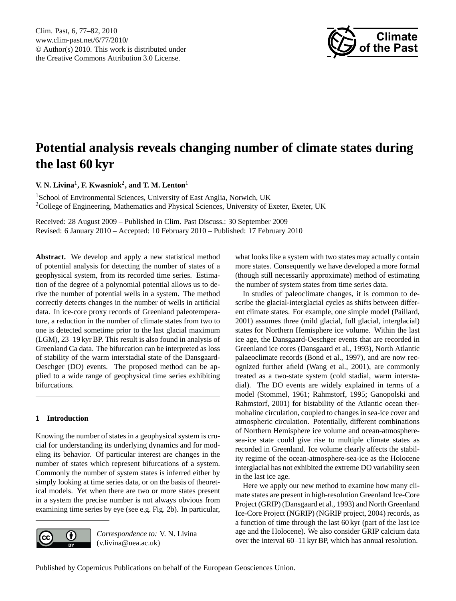<span id="page-0-0"></span>Clim. Past, 6, 77–82, 2010 www.clim-past.net/6/77/2010/ © Author(s) 2010. This work is distributed under the Creative Commons Attribution 3.0 License.



# **Potential analysis reveals changing number of climate states during the last 60 kyr**

## **V. N. Livina**<sup>1</sup> **, F. Kwasniok**<sup>2</sup> **, and T. M. Lenton**<sup>1</sup>

<sup>1</sup>School of Environmental Sciences, University of East Anglia, Norwich, UK <sup>2</sup>College of Engineering, Mathematics and Physical Sciences, University of Exeter, Exeter, UK

Received: 28 August 2009 – Published in Clim. Past Discuss.: 30 September 2009 Revised: 6 January 2010 – Accepted: 10 February 2010 – Published: 17 February 2010

**Abstract.** We develop and apply a new statistical method of potential analysis for detecting the number of states of a geophysical system, from its recorded time series. Estimation of the degree of a polynomial potential allows us to derive the number of potential wells in a system. The method correctly detects changes in the number of wells in artificial data. In ice-core proxy records of Greenland paleotemperature, a reduction in the number of climate states from two to one is detected sometime prior to the last glacial maximum (LGM), 23–19 kyr BP. This result is also found in analysis of Greenland Ca data. The bifurcation can be interpreted as loss of stability of the warm interstadial state of the Dansgaard-Oeschger (DO) events. The proposed method can be applied to a wide range of geophysical time series exhibiting bifurcations.

## **1 Introduction**

Knowing the number of states in a geophysical system is crucial for understanding its underlying dynamics and for modeling its behavior. Of particular interest are changes in the number of states which represent bifurcations of a system. Commonly the number of system states is inferred either by simply looking at time series data, or on the basis of theoretical models. Yet when there are two or more states present in a system the precise number is not always obvious from examining time series by eye (see e.g. Fig. [2b](#page-2-0)). In particular,



*Correspondence to:* V. N. Livina (v.livina@uea.ac.uk)

what looks like a system with two states may actually contain more states. Consequently we have developed a more formal (though still necessarily approximate) method of estimating the number of system states from time series data.

In studies of paleoclimate changes, it is common to describe the glacial-interglacial cycles as shifts between different climate states. For example, one simple model [\(Paillard,](#page-5-0) [2001\)](#page-5-0) assumes three (mild glacial, full glacial, interglacial) states for Northern Hemisphere ice volume. Within the last ice age, the Dansgaard-Oeschger events that are recorded in Greenland ice cores [\(Dansgaard et al.,](#page-5-1) [1993\)](#page-5-1), North Atlantic palaeoclimate records [\(Bond et al.,](#page-5-2) [1997\)](#page-5-2), and are now recognized further afield [\(Wang et al.,](#page-5-3) [2001\)](#page-5-3), are commonly treated as a two-state system (cold stadial, warm interstadial). The DO events are widely explained in terms of a model [\(Stommel,](#page-5-4) [1961;](#page-5-4) [Rahmstorf,](#page-5-5) [1995;](#page-5-5) [Ganopolski and](#page-5-6) [Rahmstorf,](#page-5-6) [2001\)](#page-5-6) for bistability of the Atlantic ocean thermohaline circulation, coupled to changes in sea-ice cover and atmospheric circulation. Potentially, different combinations of Northern Hemisphere ice volume and ocean-atmospheresea-ice state could give rise to multiple climate states as recorded in Greenland. Ice volume clearly affects the stability regime of the ocean-atmosphere-sea-ice as the Holocene interglacial has not exhibited the extreme DO variability seen in the last ice age.

Here we apply our new method to examine how many climate states are present in high-resolution Greenland Ice-Core Project (GRIP) [\(Dansgaard et al.,](#page-5-1) [1993\)](#page-5-1) and North Greenland Ice-Core Project (NGRIP) [\(NGRIP project,](#page-5-7) [2004\)](#page-5-7) records, as a function of time through the last 60 kyr (part of the last ice age and the Holocene). We also consider GRIP calcium data over the interval 60–11 kyr BP, which has annual resolution.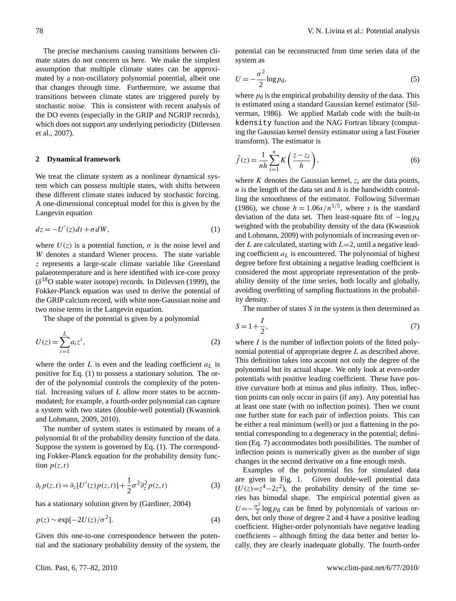The precise mechanisms causing transitions between climate states do not concern us here. We make the simplest assumption that multiple climate states can be approximated by a non-oscillatory polynomial potential, albeit one that changes through time. Furthermore, we assume that transitions between climate states are triggered purely by stochastic noise. This is consistent with recent analysis of the DO events (especially in the GRIP and NGRIP records), which does not support any underlying periodicity [\(Ditlevsen](#page-5-8) [et al.,](#page-5-8) [2007\)](#page-5-8).

#### **2 Dynamical framework**

We treat the climate system as a nonlinear dynamical system which can possess multiple states, with shifts between these different climate states induced by stochastic forcing. A one-dimensional conceptual model for this is given by the Langevin equation

<span id="page-1-0"></span>
$$
dz = -U'(z)dt + \sigma dW,\tag{1}
$$

where  $U(z)$  is a potential function,  $\sigma$  is the noise level and W denotes a standard Wiener process. The state variable z represents a large-scale climate variable like Greenland palaeotemperature and is here identified with ice-core proxy  $(\delta^{18}O)$  stable water isotope) records. In [Ditlevsen](#page-5-9) [\(1999\)](#page-5-9), the Fokker-Planck equation was used to derive the potential of the GRIP calcium record, with white non-Gaussian noise and two noise terms in the Langevin equation.

The shape of the potential is given by a polynomial

$$
U(z) = \sum_{i=1}^{L} a_i z^i,
$$
\n<sup>(2)</sup>

where the order  $L$  is even and the leading coefficient  $a<sub>L</sub>$  is positive for Eq. [\(1\)](#page-1-0) to possess a stationary solution. The order of the polynomial controls the complexity of the potential. Increasing values of L allow more states to be accommodated; for example, a fourth-order polynomial can capture a system with two states (double-well potential) [\(Kwasniok](#page-5-10) [and Lohmann,](#page-5-10) [2009,](#page-5-10) [2010\)](#page-5-11).

The number of system states is estimated by means of a polynomial fit of the probability density function of the data. Suppose the system is governed by Eq. [\(1\)](#page-1-0). The corresponding Fokker-Planck equation for the probability density function  $p(z,t)$ 

$$
\partial_t p(z,t) = \partial_z [U'(z)p(z,t)] + \frac{1}{2} \sigma^2 \partial_z^2 p(z,t) \tag{3}
$$

has a stationary solution given by [\(Gardiner,](#page-5-12) [2004\)](#page-5-12)

$$
p(z) \sim \exp[-2U(z)/\sigma^2].
$$
 (4)

Given this one-to-one correspondence between the potential and the stationary probability density of the system, the potential can be reconstructed from time series data of the system as

$$
U = -\frac{\sigma^2}{2} \log p_{\rm d},\tag{5}
$$

where  $p_d$  is the empirical probability density of the data. This is estimated using a standard Gaussian kernel estimator [\(Sil](#page-5-13)[verman,](#page-5-13) [1986\)](#page-5-13). We applied Matlab code with the built-in kdensity function and the NAG Fortran library (computing the Gaussian kernel density estimator using a fast Fourier transform). The estimator is

$$
\hat{f}(z) = \frac{1}{nh} \sum_{i=1}^{n} K\left(\frac{z - z_i}{h}\right),\tag{6}
$$

where K denotes the Gaussian kernel,  $z_i$  are the data points,  $n$  is the length of the data set and  $h$  is the bandwidth controlling the smoothness of the estimator. Following [Silverman](#page-5-13) [\(1986\)](#page-5-13), we chose  $h = 1.06s/n^{1/5}$ , where s is the standard deviation of the data set. Then least-square fits of  $-\log p_d$ weighted with the probability density of the data [\(Kwasniok](#page-5-10) [and Lohmann,](#page-5-10) [2009\)](#page-5-10) with polynomials of increasing even order L are calculated, starting with  $L=2$ , until a negative leading coefficient  $a<sub>L</sub>$  is encountered. The polynomial of highest degree before first obtaining a negative leading coefficient is considered the most appropriate representation of the probability density of the time series, both locally and globally, avoiding overfitting of sampling fluctuations in the probability density.

The number of states S in the system is then determined as

<span id="page-1-1"></span>
$$
S = 1 + \frac{I}{2},\tag{7}
$$

where  $I$  is the number of inflection points of the fitted polynomial potential of appropriate degree L as described above. This definition takes into account not only the degree of the polynomial but its actual shape. We only look at even-order potentials with positive leading coefficient. These have positive curvature both at minus and plus infinity. Thus, inflection points can only occur in pairs (if any). Any potential has at least one state (with no inflection points). Then we count one further state for each pair of inflection points. This can be either a real minimum (well) or just a flattening in the potential corresponding to a degeneracy in the potential; definition (Eq. [7\)](#page-1-1) accommodates both possibilities. The number of inflection points is numerically given as the number of sign changes in the second derivative on a fine enough mesh.

Examples of the polynomial fits for simulated data are given in Fig. [1.](#page-2-1) Given double-well potential data  $(U(z)=z<sup>4</sup>-2z<sup>2</sup>)$ , the probability density of the time series has bimodal shape. The empirical potential given as  $U=-\frac{\sigma^2}{2}$  $\frac{\sigma^2}{2} \log p_d$  can be fitted by polynomials of various orders, but only those of degree 2 and 4 have a positive leading coefficient. Higher-order polynomials have negative leading coefficients – although fitting the data better and better locally, they are clearly inadequate globally. The fourth-order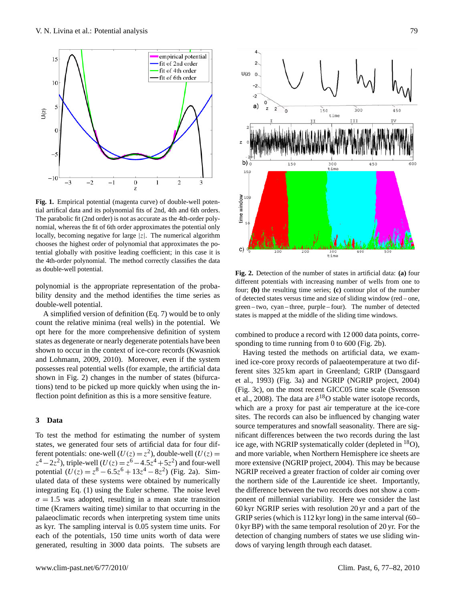

<span id="page-2-1"></span>**Fig. 1.** Empirical potential (magenta curve) of double-well potential artifical data and its polynomial fits of 2nd, 4th and 6th orders. The parabolic fit (2nd order) is not as accurate as the 4th-order polynomial, whereas the fit of 6th order approximates the potential only locally, becoming negative for large  $|z|$ . The numerical algorithm chooses the highest order of polynomial that approximates the potential globally with positive leading coefficient; in this case it is the 4th-order polynomial. The method correctly classifies the data as double-well potential.

polynomial is the appropriate representation of the probability density and the method identifies the time series as double-well potential.

A simplified version of definition (Eq. [7\)](#page-1-1) would be to only count the relative minima (real wells) in the potential. We opt here for the more comprehensive definition of system states as degenerate or nearly degenerate potentials have been shown to occur in the context of ice-core records [\(Kwasniok](#page-5-10) [and Lohmann,](#page-5-10) [2009,](#page-5-10) [2010\)](#page-5-11). Moreover, even if the system possesses real potential wells (for example, the artificial data shown in Fig. 2) changes in the number of states (bifurcations) tend to be picked up more quickly when using the inflection point definition as this is a more sensitive feature.

#### **3 Data**

To test the method for estimating the number of system states, we generated four sets of artificial data for four different potentials: one-well  $(U(z) = z^2)$ , double-well  $(U(z) = z^2)$  $z^4 - 2z^2$ ), triple-well  $(U(z) = z^6 - 4.5z^4 + 5z^2)$  and four-well potential  $(U(z) = z^8 - 6.5z^6 + 13z^4 - 8z^2)$  (Fig. [2a](#page-2-0)). Simulated data of these systems were obtained by numerically integrating Eq. [\(1\)](#page-1-0) using the Euler scheme. The noise level  $\sigma = 1.5$  was adopted, resulting in a mean state transition time (Kramers waiting time) similar to that occurring in the palaeoclimatic records when interpreting system time units as kyr. The sampling interval is 0.05 system time units. For each of the potentials, 150 time units worth of data were generated, resulting in 3000 data points. The subsets are



<span id="page-2-0"></span>**Fig. 2.** Detection of the number of states in artificial data: **(a)** four different potentials with increasing number of wells from one to four; **(b)** the resulting time series; **(c)** contour plot of the number of detected states versus time and size of sliding window (red – one, green – two, cyan – three, purple – four). The number of detected states is mapped at the middle of the sliding time windows.

combined to produce a record with 12 000 data points, corresponding to time running from 0 to 600 (Fig. [2b](#page-2-0)).

Having tested the methods on artificial data, we examined ice-core proxy records of palaeotemperature at two different sites 325 km apart in Greenland; GRIP [\(Dansgaard](#page-5-1) [et al.,](#page-5-1) [1993\)](#page-5-1) (Fig. [3a](#page-3-0)) and NGRIP [\(NGRIP project,](#page-5-7) [2004\)](#page-5-7) (Fig. [3c](#page-3-0)), on the most recent GICC05 time scale [\(Svensson](#page-5-14) [et al.,](#page-5-14) [2008\)](#page-5-14). The data are  $\delta^{18}$ O stable water isotope records, which are a proxy for past air temperature at the ice-core sites. The records can also be influenced by changing water source temperatures and snowfall seasonality. There are significant differences between the two records during the last ice age, with NGRIP systematically colder (depleted in  $^{18}O$ ), and more variable, when Northern Hemisphere ice sheets are more extensive [\(NGRIP project,](#page-5-7) [2004\)](#page-5-7). This may be because NGRIP received a greater fraction of colder air coming over the northern side of the Laurentide ice sheet. Importantly, the difference between the two records does not show a component of millennial variability. Here we consider the last 60 kyr NGRIP series with resolution 20 yr and a part of the GRIP series (which is 112 kyr long) in the same interval (60– 0 kyr BP) with the same temporal resolution of 20 yr. For the detection of changing numbers of states we use sliding windows of varying length through each dataset.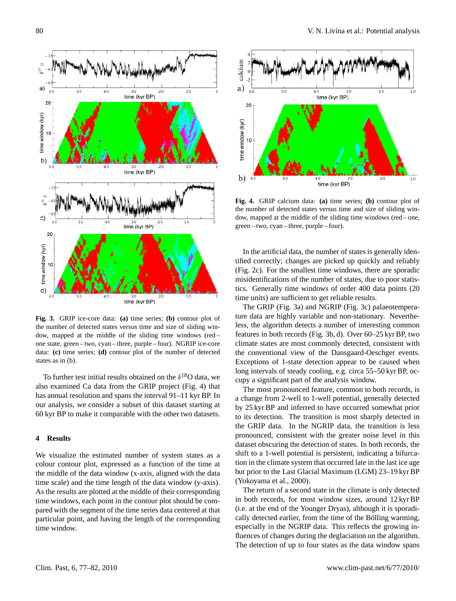

<span id="page-3-0"></span>**Fig. 3.** GRIP ice-core data: **(a)** time series; **(b)** contour plot of the number of detected states versus time and size of sliding window, mapped at the middle of the sliding time windows (red – one state, green – two, cyan – three, purple – four). NGRIP ice-core data: **(c)** time series; **(d)** contour plot of the number of detected states as in (b).

To further test initial results obtained on the  $\delta^{18}O$  data, we also examined Ca data from the GRIP project (Fig. [4\)](#page-3-1) that has annual resolution and spans the interval 91–11 kyr BP. In our analysis, we consider a subset of this dataset starting at 60 kyr BP to make it comparable with the other two datasets.

#### **4 Results**

We visualize the estimated number of system states as a colour contour plot, expressed as a function of the time at the middle of the data window (x-axis, aligned with the data time scale) and the time length of the data window (y-axis). As the results are plotted at the middle of their corresponding time windows, each point in the contour plot should be compared with the segment of the time series data centered at that particular point, and having the length of the corresponding time window.



<span id="page-3-1"></span>**Fig. 4.** GRIP calcium data: **(a)** time series; **(b)** contour plot of the number of detected states versus time and size of sliding window, mapped at the middle of the sliding time windows (red – one, green – two, cyan – three, purple – four).

In the artificial data, the number of states is generally identified correctly; changes are picked up quickly and reliably (Fig. [2c](#page-2-0)). For the smallest time windows, there are sporadic misidentifications of the number of states, due to poor statistics. Generally time windows of order 400 data points (20 time units) are sufficient to get reliable results.

The GRIP (Fig. [3a](#page-3-0)) and NGRIP (Fig. [3c](#page-3-0)) palaeotemperature data are highly variable and non-stationary. Nevertheless, the algorithm detects a number of interesting common features in both records (Fig. [3b](#page-3-0), d). Over 60–25 kyr BP, two climate states are most commonly detected, consistent with the conventional view of the Dansgaard-Oeschger events. Exceptions of 1-state detection appear to be caused when long intervals of steady cooling, e.g. circa 55–50 kyr BP, occupy a significant part of the analysis window.

The most pronounced feature, common to both records, is a change from 2-well to 1-well potential, generally detected by 25 kyr BP and inferred to have occurred somewhat prior to its detection. The transition is most sharply detected in the GRIP data. In the NGRIP data, the transition is less pronounced, consistent with the greater noise level in this dataset obscuring the detection of states. In both records, the shift to a 1-well potential is persistent, indicating a bifurcation in the climate system that occurred late in the last ice age but prior to the Last Glacial Maximum (LGM) 23–19 kyr BP [\(Yokoyama et al.,](#page-5-15) [2000\)](#page-5-15).

The return of a second state in the climate is only detected in both records, for most window sizes, around 12 kyr BP (i.e. at the end of the Younger Dryas), although it is sporadically detected earlier, from the time of the Bölling warming, especially in the NGRIP data. This reflects the growing influences of changes during the deglaciation on the algorithm. The detection of up to four states as the data window spans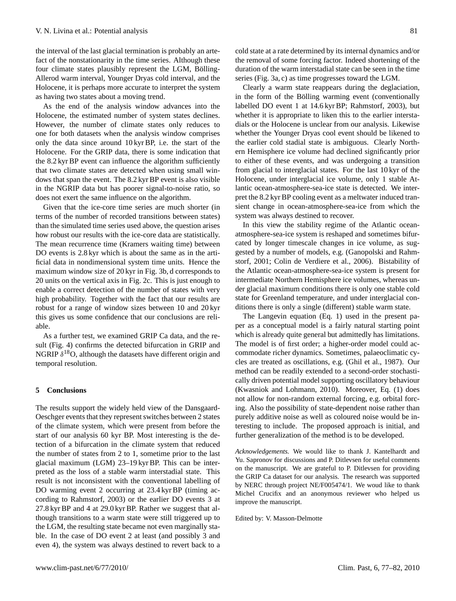the interval of the last glacial termination is probably an artefact of the nonstationarity in the time series. Although these four climate states plausibly represent the LGM, Bölling-Allerod warm interval, Younger Dryas cold interval, and the Holocene, it is perhaps more accurate to interpret the system as having two states about a moving trend.

As the end of the analysis window advances into the Holocene, the estimated number of system states declines. However, the number of climate states only reduces to one for both datasets when the analysis window comprises only the data since around 10 kyr BP, i.e. the start of the Holocene. For the GRIP data, there is some indication that the 8.2 kyr BP event can influence the algorithm sufficiently that two climate states are detected when using small windows that span the event. The 8.2 kyr BP event is also visible in the NGRIP data but has poorer signal-to-noise ratio, so does not exert the same influence on the algorithm.

Given that the ice-core time series are much shorter (in terms of the number of recorded transitions between states) than the simulated time series used above, the question arises how robust our results with the ice-core data are statistically. The mean recurrence time (Kramers waiting time) between DO events is 2.8 kyr which is about the same as in the artificial data in nondimensional system time units. Hence the maximum window size of 20 kyr in Fig. [3b](#page-3-0), d corresponds to 20 units on the vertical axis in Fig. [2c](#page-2-0). This is just enough to enable a correct detection of the number of states with very high probability. Together with the fact that our results are robust for a range of window sizes between 10 and 20 kyr this gives us some confidence that our conclusions are reliable.

As a further test, we examined GRIP Ca data, and the result (Fig. 4) confirms the detected bifurcation in GRIP and NGRIP  $\delta^{18}O$ , although the datasets have different origin and temporal resolution.

#### **5 Conclusions**

The results support the widely held view of the Dansgaard-Oeschger events that they represent switches between 2 states of the climate system, which were present from before the start of our analysis 60 kyr BP. Most interesting is the detection of a bifurcation in the climate system that reduced the number of states from 2 to 1, sometime prior to the last glacial maximum (LGM) 23–19 kyr BP. This can be interpreted as the loss of a stable warm interstadial state. This result is not inconsistent with the conventional labelling of DO warming event 2 occurring at 23.4 kyr BP (timing according to [Rahmstorf,](#page-5-16) [2003\)](#page-5-16) or the earlier DO events 3 at 27.8 kyr BP and 4 at 29.0 kyr BP. Rather we suggest that although transitions to a warm state were still triggered up to the LGM, the resulting state became not even marginally stable. In the case of DO event 2 at least (and possibly 3 and even 4), the system was always destined to revert back to a cold state at a rate determined by its internal dynamics and/or the removal of some forcing factor. Indeed shortening of the duration of the warm interstadial state can be seen in the time series (Fig. [3a](#page-3-0), c) as time progresses toward the LGM.

Clearly a warm state reappears during the deglaciation, in the form of the Bölling warming event (conventionally labelled DO event 1 at 14.6 kyr BP; [Rahmstorf,](#page-5-16) [2003\)](#page-5-16), but whether it is appropriate to liken this to the earlier interstadials or the Holocene is unclear from our analysis. Likewise whether the Younger Dryas cool event should be likened to the earlier cold stadial state is ambiguous. Clearly Northern Hemisphere ice volume had declined significantly prior to either of these events, and was undergoing a transition from glacial to interglacial states. For the last 10 kyr of the Holocene, under interglacial ice volume, only 1 stable Atlantic ocean-atmosphere-sea-ice state is detected. We interpret the 8.2 kyr BP cooling event as a meltwater induced transient change in ocean-atmosphere-sea-ice from which the system was always destined to recover.

In this view the stability regime of the Atlantic oceanatmosphere-sea-ice system is reshaped and sometimes bifurcated by longer timescale changes in ice volume, as suggested by a number of models, e.g. [\(Ganopolski and Rahm](#page-5-6)[storf,](#page-5-6) [2001;](#page-5-6) [Colin de Verdiere et al.,](#page-5-17) [2006\)](#page-5-17). Bistability of the Atlantic ocean-atmosphere-sea-ice system is present for intermediate Northern Hemisphere ice volumes, whereas under glacial maximum conditions there is only one stable cold state for Greenland temperature, and under interglacial conditions there is only a single (different) stable warm state.

The Langevin equation (Eq. 1) used in the present paper as a conceptual model is a fairly natural starting point which is already quite general but admittedly has limitations. The model is of first order; a higher-order model could accommodate richer dynamics. Sometimes, palaeoclimatic cycles are treated as oscillations, e.g. [\(Ghil et al.,](#page-5-18) [1987\)](#page-5-18). Our method can be readily extended to a second-order stochastically driven potential model supporting oscillatory behaviour [\(Kwasniok and Lohmann,](#page-5-11) [2010\)](#page-5-11). Moreover, Eq. (1) does not allow for non-random external forcing, e.g. orbital forcing. Also the possibility of state-dependent noise rather than purely additive noise as well as coloured noise would be interesting to include. The proposed approach is initial, and further generalization of the method is to be developed.

*Acknowledgements.* We would like to thank J. Kantelhardt and Yu. Sapronov for discussions and P. Ditlevsen for useful comments on the manuscript. We are grateful to P. Ditlevsen for providing the GRIP Ca dataset for our analysis. The research was supported by NERC through project NE/F005474/1. We woud like to thank Michel Crucifix and an anonymous reviewer who helped us improve the manuscript.

Edited by: V. Masson-Delmotte